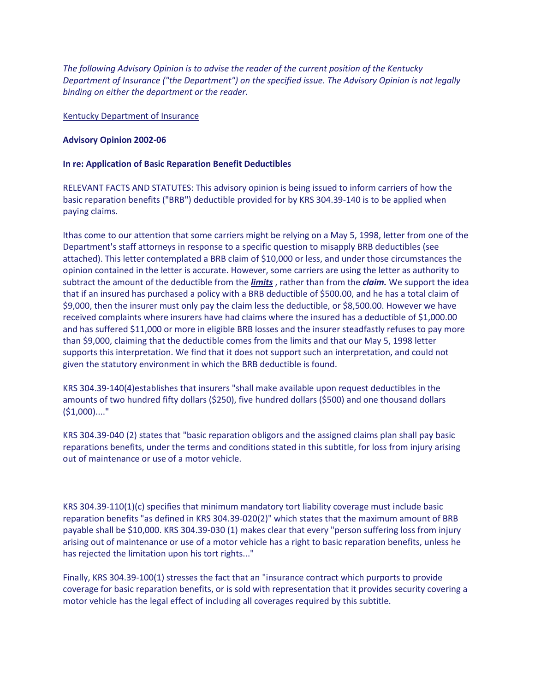*The following Advisory Opinion is to advise the reader of the current position of the Kentucky Department of Insurance ("the Department") on the specified issue. The Advisory Opinion is not legally binding on either the department or the reader.* 

## Kentucky Department of Insurance

## **Advisory Opinion 2002-06**

## **In re: Application of Basic Reparation Benefit Deductibles**

RELEVANT FACTS AND STATUTES: This advisory opinion is being issued to inform carriers of how the basic reparation benefits ("BRB") deductible provided for by KRS 304.39-140 is to be applied when paying claims.

Ithas come to our attention that some carriers might be relying on a May 5, 1998, letter from one of the Department's staff attorneys in response to a specific question to misapply BRB deductibles (see attached). This letter contemplated a BRB claim of \$10,000 or less, and under those circumstances the opinion contained in the letter is accurate. However, some carriers are using the letter as authority to subtract the amount of the deductible from the *limits* , rather than from the *claim.* We support the idea that if an insured has purchased a policy with a BRB deductible of \$500.00, and he has a total claim of \$9,000, then the insurer must only pay the claim less the deductible, or \$8,500.00. However we have received complaints where insurers have had claims where the insured has a deductible of \$1,000.00 and has suffered \$11,000 or more in eligible BRB losses and the insurer steadfastly refuses to pay more than \$9,000, claiming that the deductible comes from the limits and that our May 5, 1998 letter supports this interpretation. We find that it does not support such an interpretation, and could not given the statutory environment in which the BRB deductible is found.

KRS 304.39-140(4)establishes that insurers "shall make available upon request deductibles in the amounts of two hundred fifty dollars (\$250), five hundred dollars (\$500) and one thousand dollars (\$1,000)...."

KRS 304.39-040 (2) states that "basic reparation obligors and the assigned claims plan shall pay basic reparations benefits, under the terms and conditions stated in this subtitle, for loss from injury arising out of maintenance or use of a motor vehicle.

KRS 304.39-110(1)(c) specifies that minimum mandatory tort liability coverage must include basic reparation benefits "as defined in KRS 304.39-020(2)" which states that the maximum amount of BRB payable shall be \$10,000. KRS 304.39-030 (1) makes clear that every "person suffering loss from injury arising out of maintenance or use of a motor vehicle has a right to basic reparation benefits, unless he has rejected the limitation upon his tort rights..."

Finally, KRS 304.39-100(1) stresses the fact that an "insurance contract which purports to provide coverage for basic reparation benefits, or is sold with representation that it provides security covering a motor vehicle has the legal effect of including all coverages required by this subtitle.